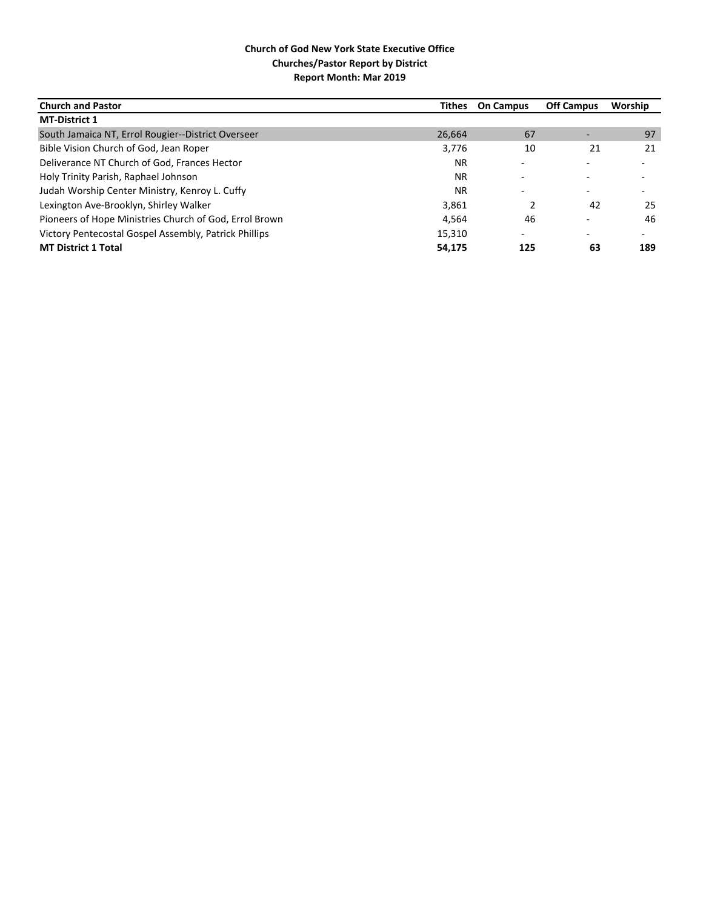| <b>Church and Pastor</b>                               | Tithes    | <b>On Campus</b>         | <b>Off Campus</b> | Worship                  |
|--------------------------------------------------------|-----------|--------------------------|-------------------|--------------------------|
| <b>MT-District 1</b>                                   |           |                          |                   |                          |
| South Jamaica NT, Errol Rougier--District Overseer     | 26,664    | 67                       |                   | 97                       |
| Bible Vision Church of God, Jean Roper                 | 3,776     | 10                       | 21                | 21                       |
| Deliverance NT Church of God, Frances Hector           | <b>NR</b> |                          |                   |                          |
| Holy Trinity Parish, Raphael Johnson                   | <b>NR</b> | $\overline{\phantom{0}}$ |                   | $\overline{\phantom{0}}$ |
| Judah Worship Center Ministry, Kenroy L. Cuffy         | <b>NR</b> |                          |                   |                          |
| Lexington Ave-Brooklyn, Shirley Walker                 | 3,861     |                          | 42                | 25                       |
| Pioneers of Hope Ministries Church of God, Errol Brown | 4.564     | 46                       |                   | 46                       |
| Victory Pentecostal Gospel Assembly, Patrick Phillips  | 15,310    | $\overline{\phantom{0}}$ |                   | $\overline{\phantom{0}}$ |
| <b>MT District 1 Total</b>                             | 54,175    | 125                      | 63                | 189                      |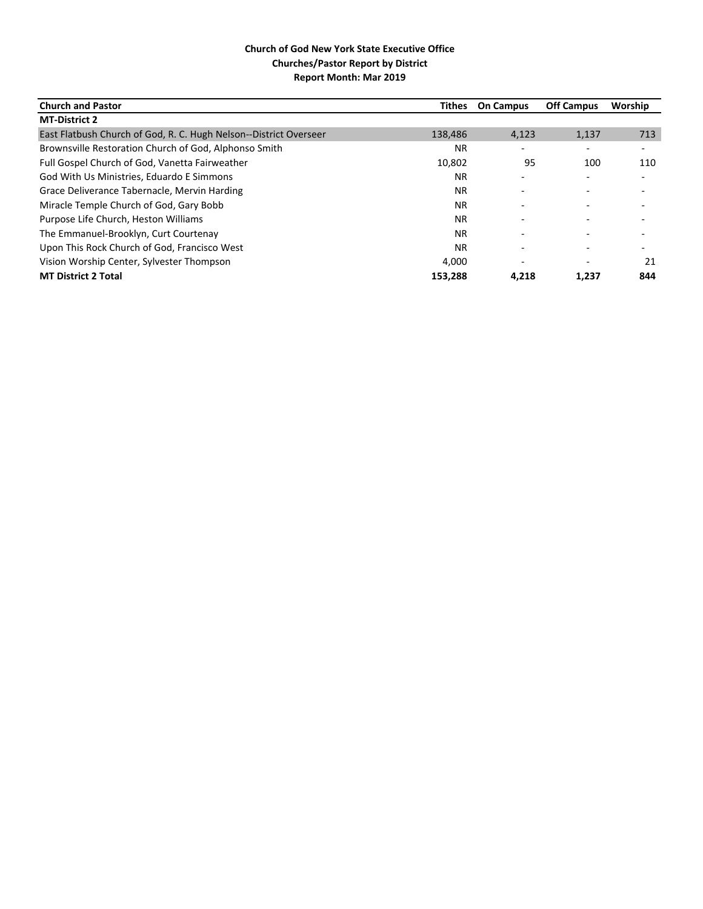| <b>Church and Pastor</b>                                          | <b>Tithes</b> | <b>On Campus</b>         | <b>Off Campus</b> | Worship |
|-------------------------------------------------------------------|---------------|--------------------------|-------------------|---------|
| <b>MT-District 2</b>                                              |               |                          |                   |         |
| East Flatbush Church of God, R. C. Hugh Nelson--District Overseer | 138,486       | 4,123                    | 1,137             | 713     |
| Brownsville Restoration Church of God, Alphonso Smith             | NR.           |                          |                   |         |
| Full Gospel Church of God, Vanetta Fairweather                    | 10,802        | 95                       | 100               | 110     |
| God With Us Ministries, Eduardo E Simmons                         | NR.           |                          |                   |         |
| Grace Deliverance Tabernacle, Mervin Harding                      | <b>NR</b>     |                          |                   |         |
| Miracle Temple Church of God, Gary Bobb                           | <b>NR</b>     |                          |                   |         |
| Purpose Life Church, Heston Williams                              | <b>NR</b>     | ٠                        |                   |         |
| The Emmanuel-Brooklyn, Curt Courtenay                             | <b>NR</b>     | $\overline{\phantom{0}}$ |                   |         |
| Upon This Rock Church of God, Francisco West                      | <b>NR</b>     |                          |                   |         |
| Vision Worship Center, Sylvester Thompson                         | 4.000         |                          |                   | 21      |
| <b>MT District 2 Total</b>                                        | 153.288       | 4.218                    | 1,237             | 844     |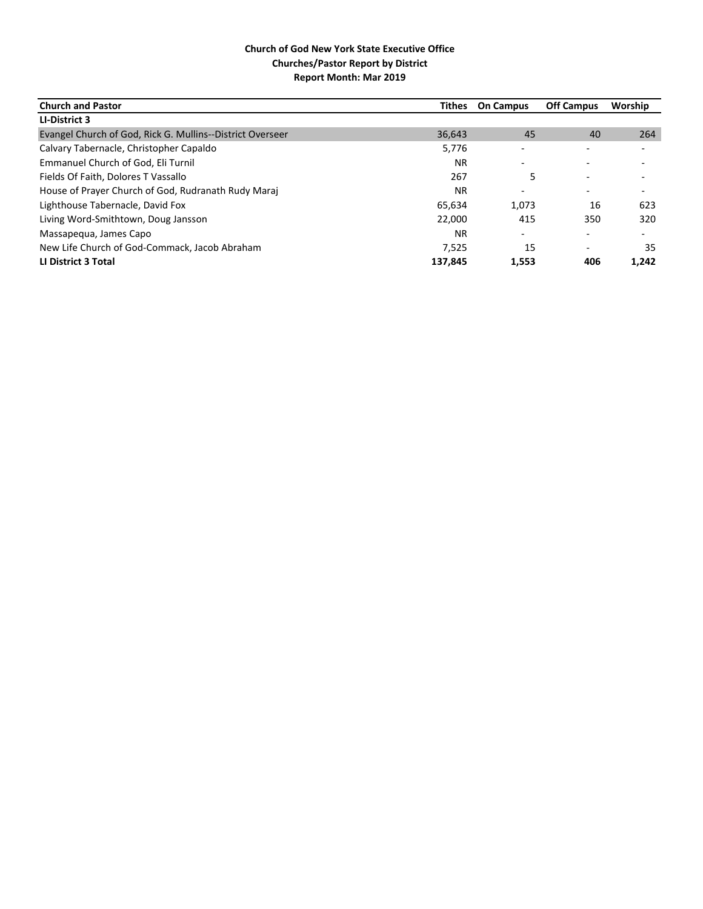| <b>Church and Pastor</b>                                  | Tithes  | <b>On Campus</b>         | <b>Off Campus</b>        | Worship                  |
|-----------------------------------------------------------|---------|--------------------------|--------------------------|--------------------------|
| LI-District 3                                             |         |                          |                          |                          |
| Evangel Church of God, Rick G. Mullins--District Overseer | 36,643  | 45                       | 40                       | 264                      |
| Calvary Tabernacle, Christopher Capaldo                   | 5,776   |                          |                          |                          |
| Emmanuel Church of God, Eli Turnil                        | NR.     | $\overline{\phantom{0}}$ |                          |                          |
| Fields Of Faith, Dolores T Vassallo                       | 267     | 5                        |                          |                          |
| House of Prayer Church of God, Rudranath Rudy Maraj       | ΝR      | $\overline{\phantom{0}}$ |                          |                          |
| Lighthouse Tabernacle, David Fox                          | 65,634  | 1,073                    | 16                       | 623                      |
| Living Word-Smithtown, Doug Jansson                       | 22,000  | 415                      | 350                      | 320                      |
| Massapegua, James Capo                                    | NR.     | $\overline{\phantom{a}}$ |                          | $\overline{\phantom{a}}$ |
| New Life Church of God-Commack, Jacob Abraham             | 7.525   | 15                       | $\overline{\phantom{0}}$ | 35                       |
| LI District 3 Total                                       | 137.845 | 1,553                    | 406                      | 1,242                    |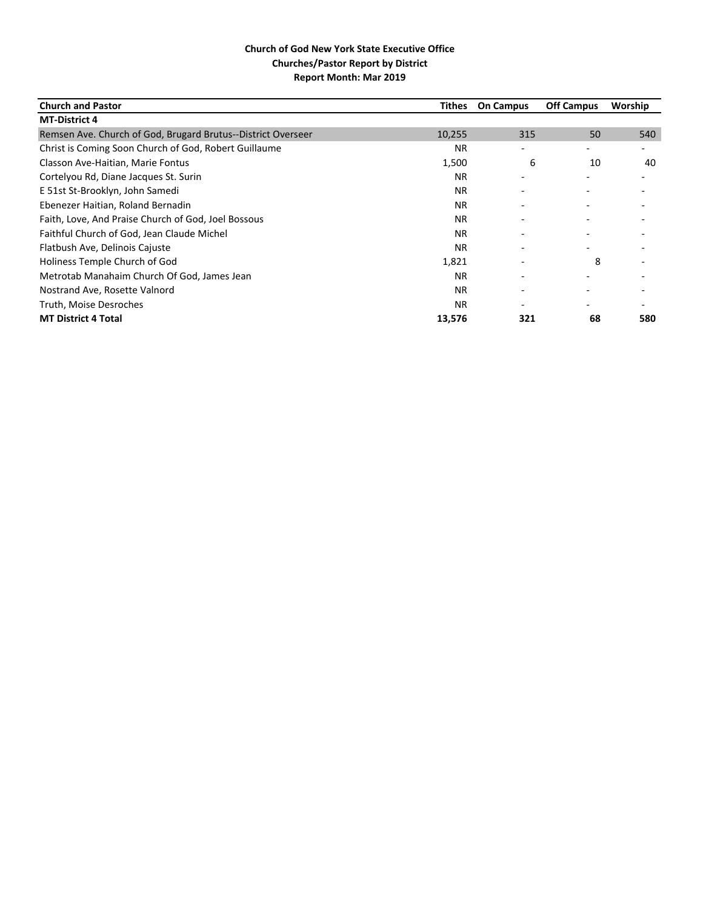| <b>Church and Pastor</b>                                     | Tithes    | <b>On Campus</b> | <b>Off Campus</b> | Worship                  |
|--------------------------------------------------------------|-----------|------------------|-------------------|--------------------------|
| <b>MT-District 4</b>                                         |           |                  |                   |                          |
| Remsen Ave. Church of God, Brugard Brutus--District Overseer | 10,255    | 315              | 50                | 540                      |
| Christ is Coming Soon Church of God, Robert Guillaume        | <b>NR</b> | ۰                | -                 | $\overline{\phantom{0}}$ |
| Classon Ave-Haitian, Marie Fontus                            | 1,500     | 6                | 10                | 40                       |
| Cortelyou Rd, Diane Jacques St. Surin                        | NR.       |                  |                   |                          |
| E 51st St-Brooklyn, John Samedi                              | <b>NR</b> | ٠                |                   |                          |
| Ebenezer Haitian, Roland Bernadin                            | <b>NR</b> |                  |                   |                          |
| Faith, Love, And Praise Church of God, Joel Bossous          | <b>NR</b> |                  |                   |                          |
| Faithful Church of God, Jean Claude Michel                   | <b>NR</b> | ٠                |                   |                          |
| Flatbush Ave, Delinois Cajuste                               | NR.       |                  |                   |                          |
| Holiness Temple Church of God                                | 1,821     |                  | 8                 |                          |
| Metrotab Manahaim Church Of God, James Jean                  | NR.       |                  |                   |                          |
| Nostrand Ave, Rosette Valnord                                | <b>NR</b> |                  |                   |                          |
| Truth, Moise Desroches                                       | <b>NR</b> |                  |                   |                          |
| <b>MT District 4 Total</b>                                   | 13,576    | 321              | 68                | 580                      |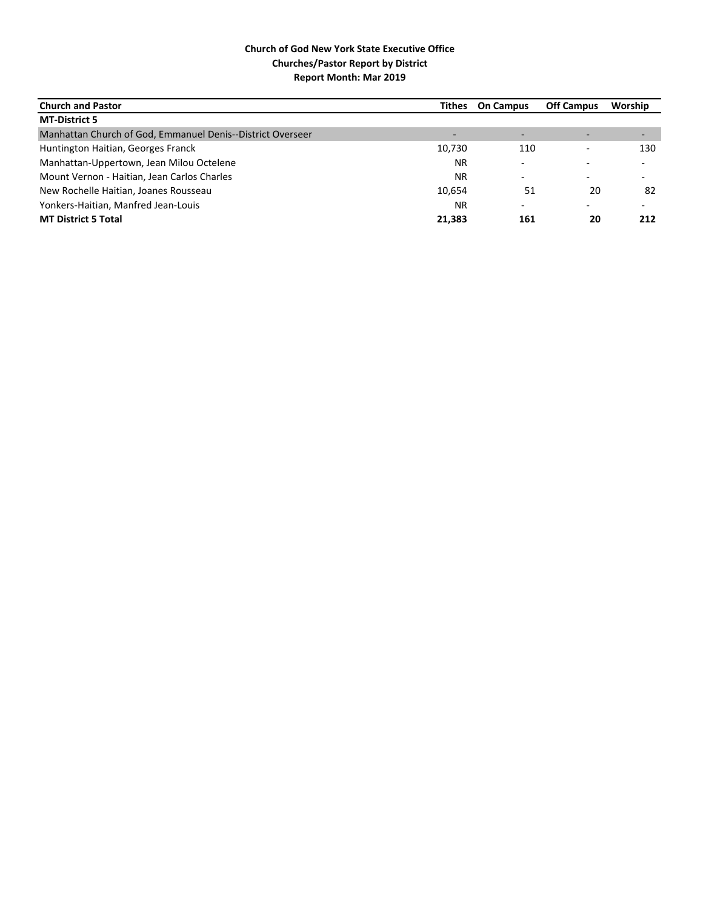| <b>Church and Pastor</b>                                   |        | Tithes On Campus         | <b>Off Campus</b> | Worship |
|------------------------------------------------------------|--------|--------------------------|-------------------|---------|
| <b>MT-District 5</b>                                       |        |                          |                   |         |
| Manhattan Church of God, Emmanuel Denis--District Overseer |        |                          |                   |         |
| Huntington Haitian, Georges Franck                         | 10,730 | 110                      |                   | 130     |
| Manhattan-Uppertown, Jean Milou Octelene                   | ΝR     | $\overline{\phantom{0}}$ |                   |         |
| Mount Vernon - Haitian, Jean Carlos Charles                | ΝR     | ۰                        |                   |         |
| New Rochelle Haitian, Joanes Rousseau                      | 10.654 | 51                       | 20                | 82      |
| Yonkers-Haitian, Manfred Jean-Louis                        | ΝR     | $\overline{\phantom{0}}$ |                   |         |
| <b>MT District 5 Total</b>                                 | 21.383 | 161                      | 20                | 212     |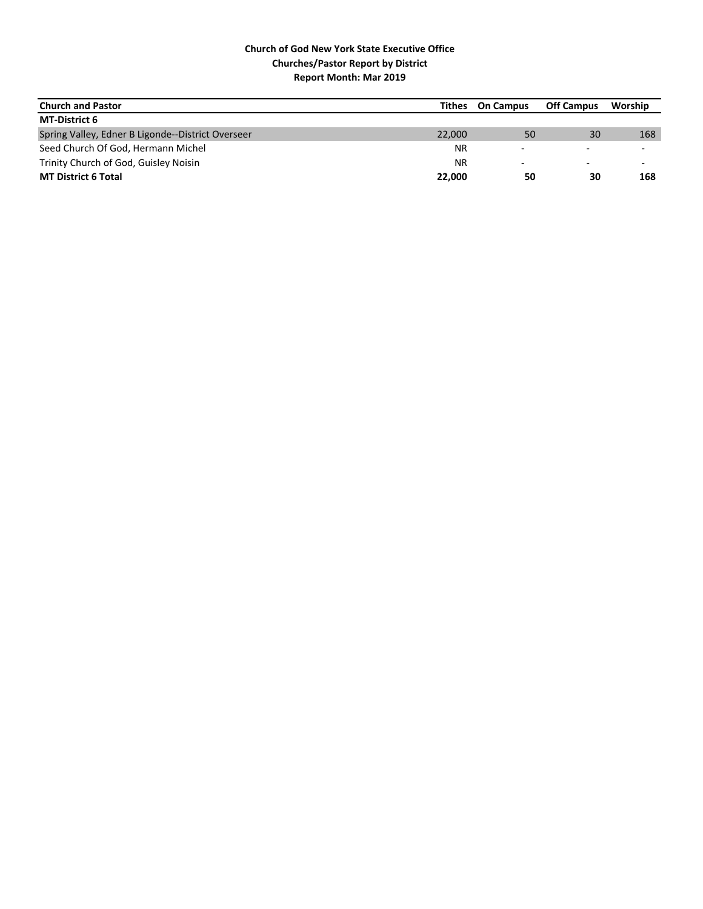| <b>Church and Pastor</b>                          | Tithes    | <b>On Campus</b>         | <b>Off Campus</b>        | Worship                  |
|---------------------------------------------------|-----------|--------------------------|--------------------------|--------------------------|
| <b>MT-District 6</b>                              |           |                          |                          |                          |
| Spring Valley, Edner B Ligonde--District Overseer | 22,000    | 50                       | 30                       | 168                      |
| Seed Church Of God, Hermann Michel                | <b>NR</b> | $\overline{\phantom{0}}$ |                          |                          |
| Trinity Church of God, Guisley Noisin             | ΝR        | -                        | $\overline{\phantom{0}}$ | $\overline{\phantom{0}}$ |
| <b>MT District 6 Total</b>                        | 22,000    | 50                       | 30                       | 168                      |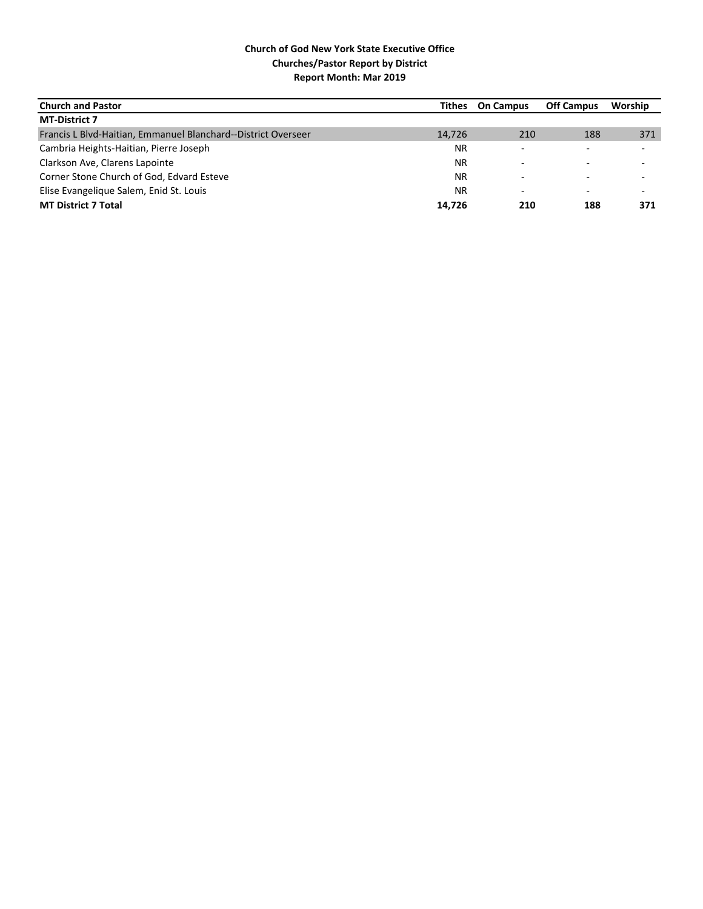| <b>Church and Pastor</b>                                      | Tithes    | <b>On Campus</b>         | <b>Off Campus</b>        | Worship                  |
|---------------------------------------------------------------|-----------|--------------------------|--------------------------|--------------------------|
| <b>MT-District 7</b>                                          |           |                          |                          |                          |
| Francis L Blvd-Haitian, Emmanuel Blanchard--District Overseer | 14.726    | 210                      | 188                      | 371                      |
| Cambria Heights-Haitian, Pierre Joseph                        | ΝR        |                          |                          | $\overline{\phantom{0}}$ |
| Clarkson Ave, Clarens Lapointe                                | <b>NR</b> |                          |                          |                          |
| Corner Stone Church of God, Edvard Esteve                     | ΝR        |                          |                          | $\overline{\phantom{0}}$ |
| Elise Evangelique Salem, Enid St. Louis                       | ΝR        | $\overline{\phantom{0}}$ | $\overline{\phantom{0}}$ | $\overline{\phantom{0}}$ |
| <b>MT District 7 Total</b>                                    | 14.726    | 210                      | 188                      | 371                      |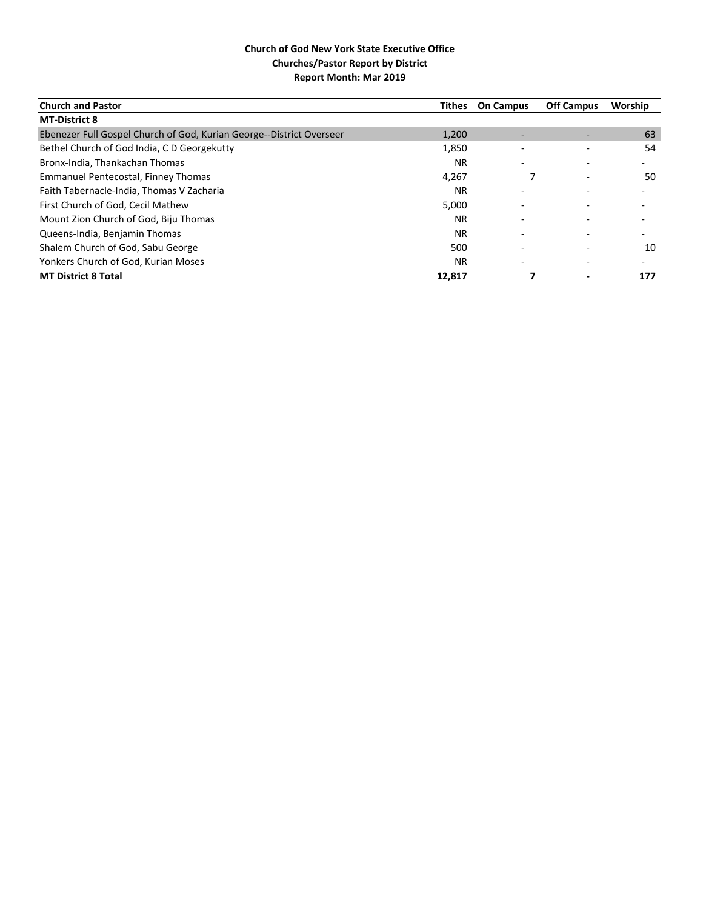| <b>Church and Pastor</b>                                             | <b>Tithes</b> | <b>On Campus</b> | <b>Off Campus</b>        | Worship                  |
|----------------------------------------------------------------------|---------------|------------------|--------------------------|--------------------------|
| <b>MT-District 8</b>                                                 |               |                  |                          |                          |
| Ebenezer Full Gospel Church of God, Kurian George--District Overseer | 1,200         |                  |                          | 63                       |
| Bethel Church of God India, C D Georgekutty                          | 1,850         |                  |                          | 54                       |
| Bronx-India, Thankachan Thomas                                       | NR.           |                  |                          |                          |
| Emmanuel Pentecostal, Finney Thomas                                  | 4,267         |                  | $\overline{\phantom{a}}$ | 50                       |
| Faith Tabernacle-India, Thomas V Zacharia                            | <b>NR</b>     |                  |                          |                          |
| First Church of God, Cecil Mathew                                    | 5,000         |                  |                          |                          |
| Mount Zion Church of God, Biju Thomas                                | NR.           |                  |                          |                          |
| Queens-India, Benjamin Thomas                                        | <b>NR</b>     |                  |                          | -                        |
| Shalem Church of God, Sabu George                                    | 500           |                  |                          | 10                       |
| Yonkers Church of God, Kurian Moses                                  | NR.           | ٠                |                          | $\overline{\phantom{0}}$ |
| <b>MT District 8 Total</b>                                           | 12,817        |                  | $\overline{\phantom{0}}$ | 177                      |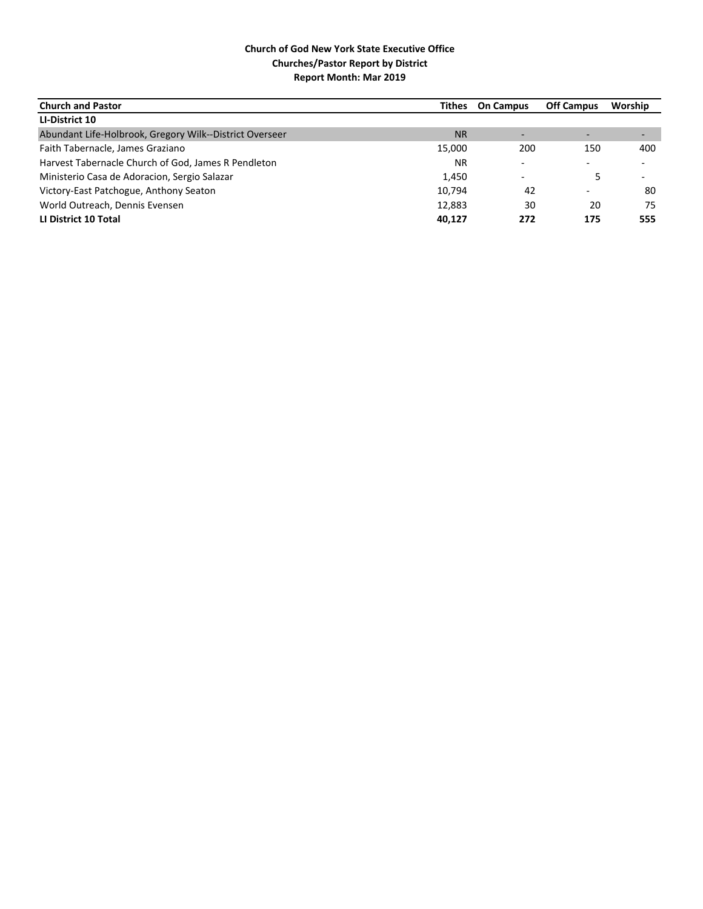| <b>Church and Pastor</b>                                |           | <b>Tithes</b> On Campus      | <b>Off Campus</b>        | Worship                  |
|---------------------------------------------------------|-----------|------------------------------|--------------------------|--------------------------|
| LI-District 10                                          |           |                              |                          |                          |
| Abundant Life-Holbrook, Gregory Wilk--District Overseer | <b>NR</b> | $\qquad \qquad \blacksquare$ |                          |                          |
| Faith Tabernacle, James Graziano                        | 15,000    | 200                          | 150                      | 400                      |
| Harvest Tabernacle Church of God, James R Pendleton     | <b>NR</b> | $\overline{\phantom{a}}$     | $\overline{\phantom{0}}$ | $\overline{\phantom{a}}$ |
| Ministerio Casa de Adoracion, Sergio Salazar            | 1,450     | $\overline{\phantom{0}}$     |                          |                          |
| Victory-East Patchogue, Anthony Seaton                  | 10.794    | 42                           |                          | 80                       |
| World Outreach, Dennis Evensen                          | 12,883    | 30                           | 20                       | 75                       |
| LI District 10 Total                                    | 40,127    | 272                          | 175                      | 555                      |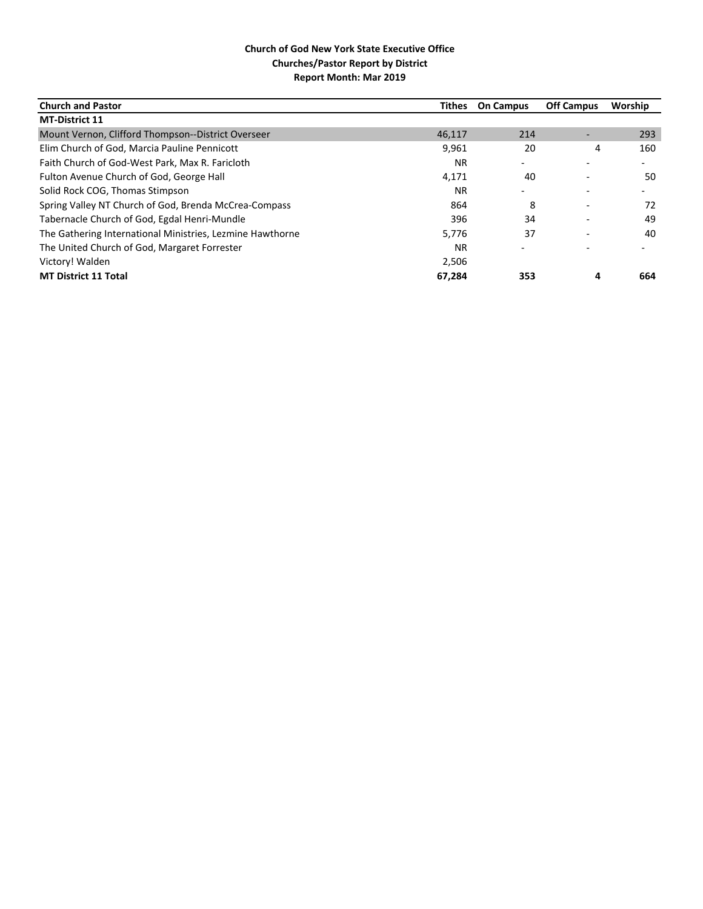| <b>Church and Pastor</b>                                  | <b>Tithes</b> | <b>On Campus</b>         | <b>Off Campus</b> | Worship                  |
|-----------------------------------------------------------|---------------|--------------------------|-------------------|--------------------------|
| <b>MT-District 11</b>                                     |               |                          |                   |                          |
| Mount Vernon, Clifford Thompson--District Overseer        | 46,117        | 214                      |                   | 293                      |
| Elim Church of God, Marcia Pauline Pennicott              | 9,961         | 20                       | 4                 | 160                      |
| Faith Church of God-West Park, Max R. Faricloth           | <b>NR</b>     |                          |                   |                          |
| Fulton Avenue Church of God, George Hall                  | 4,171         | 40                       |                   | 50                       |
| Solid Rock COG, Thomas Stimpson                           | <b>NR</b>     | $\overline{\phantom{0}}$ |                   | $\overline{\phantom{0}}$ |
| Spring Valley NT Church of God, Brenda McCrea-Compass     | 864           | 8                        |                   | 72                       |
| Tabernacle Church of God, Egdal Henri-Mundle              | 396           | 34                       |                   | 49                       |
| The Gathering International Ministries, Lezmine Hawthorne | 5,776         | 37                       |                   | 40                       |
| The United Church of God, Margaret Forrester              | <b>NR</b>     |                          |                   |                          |
| Victory! Walden                                           | 2,506         |                          |                   |                          |
| <b>MT District 11 Total</b>                               | 67,284        | 353                      |                   | 664                      |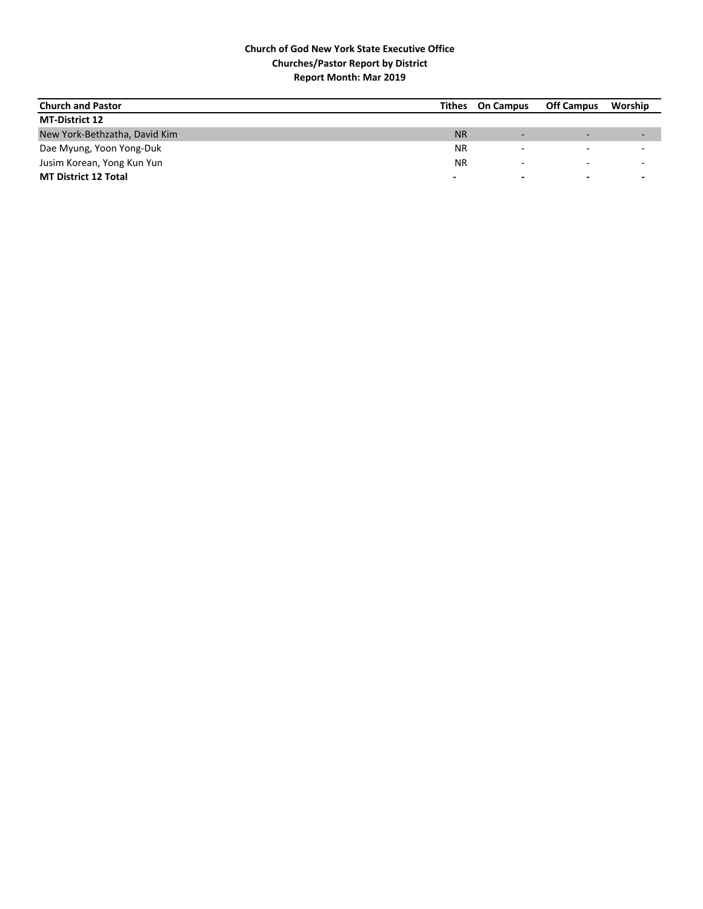| <b>Church and Pastor</b>      | Tithes    | <b>On Campus</b> | <b>Off Campus</b>        | Worship                  |
|-------------------------------|-----------|------------------|--------------------------|--------------------------|
| <b>MT-District 12</b>         |           |                  |                          |                          |
| New York-Bethzatha, David Kim | <b>NR</b> |                  |                          | $\overline{\phantom{0}}$ |
| Dae Myung, Yoon Yong-Duk      | <b>NR</b> |                  |                          | $\overline{\phantom{0}}$ |
| Jusim Korean, Yong Kun Yun    | <b>NR</b> |                  | $\overline{\phantom{0}}$ | $\overline{\phantom{a}}$ |
| <b>MT District 12 Total</b>   | -         | $\blacksquare$   | $\overline{\phantom{0}}$ | $\overline{\phantom{0}}$ |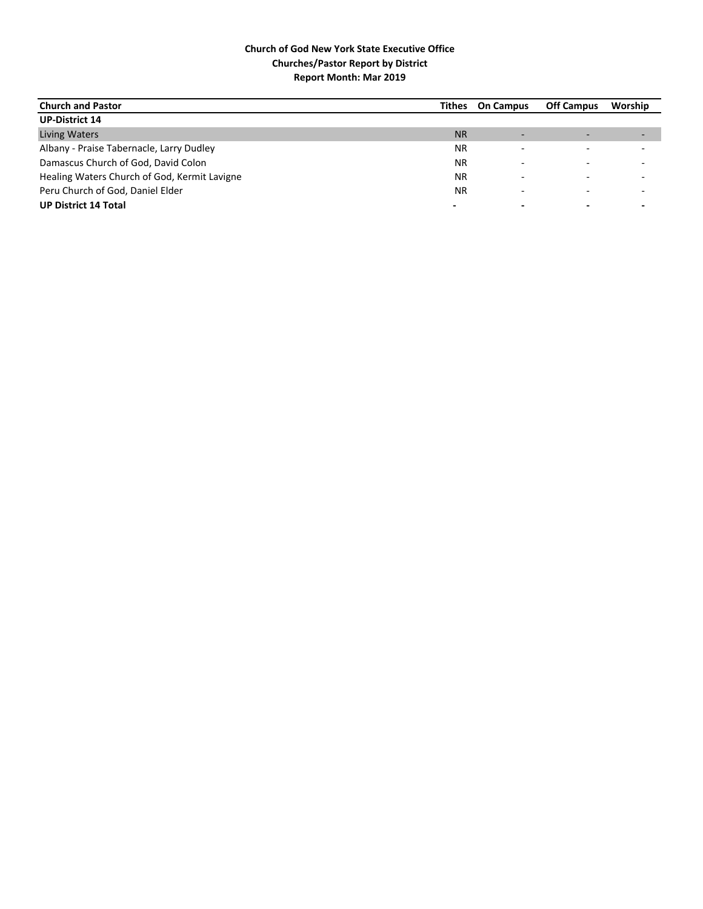| <b>Church and Pastor</b>                     |           | Tithes On Campus         | <b>Off Campus</b> | Worship |
|----------------------------------------------|-----------|--------------------------|-------------------|---------|
| <b>UP-District 14</b>                        |           |                          |                   |         |
| Living Waters                                | <b>NR</b> | $\overline{\phantom{0}}$ |                   |         |
| Albany - Praise Tabernacle, Larry Dudley     | <b>NR</b> | $\overline{\phantom{0}}$ |                   |         |
| Damascus Church of God, David Colon          | ΝR        |                          |                   |         |
| Healing Waters Church of God, Kermit Lavigne | ΝR        |                          |                   |         |
| Peru Church of God, Daniel Elder             | ΝR        | -                        |                   |         |
| <b>UP District 14 Total</b>                  |           |                          |                   |         |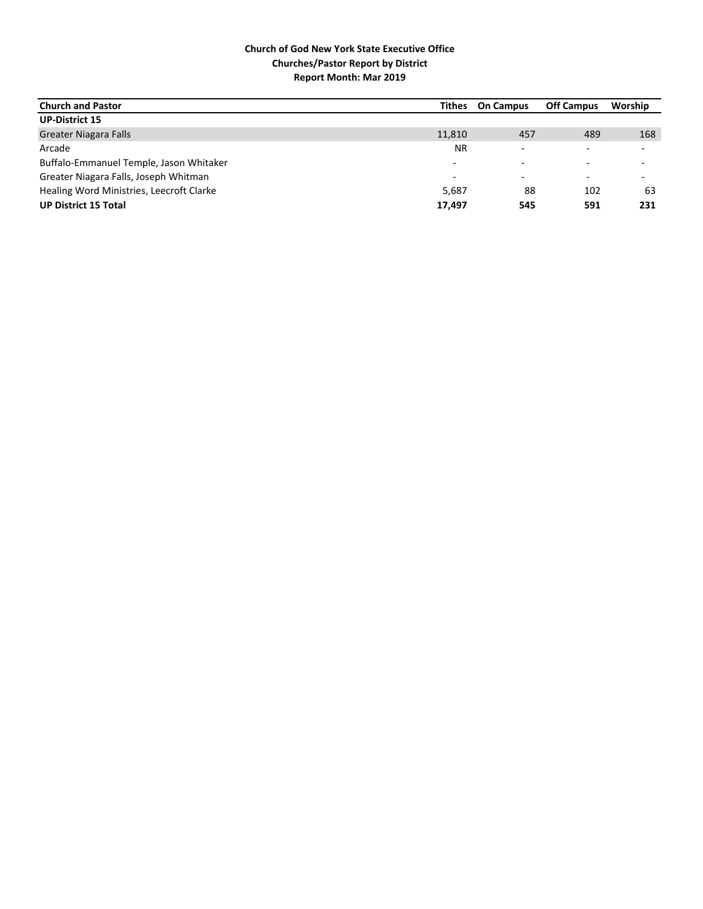| <b>Church and Pastor</b>                 | Tithes                   | <b>On Campus</b> | <b>Off Campus</b> | Worship                  |
|------------------------------------------|--------------------------|------------------|-------------------|--------------------------|
| <b>UP-District 15</b>                    |                          |                  |                   |                          |
| <b>Greater Niagara Falls</b>             | 11,810                   | 457              | 489               | 168                      |
| Arcade                                   | <b>NR</b>                |                  |                   | $\overline{\phantom{0}}$ |
| Buffalo-Emmanuel Temple, Jason Whitaker  | $\overline{\phantom{0}}$ |                  |                   | $\overline{\phantom{0}}$ |
| Greater Niagara Falls, Joseph Whitman    | $\overline{\phantom{0}}$ |                  |                   | $\overline{\phantom{0}}$ |
| Healing Word Ministries, Leecroft Clarke | 5.687                    | 88               | 102               | 63                       |
| <b>UP District 15 Total</b>              | 17,497                   | 545              | 591               | 231                      |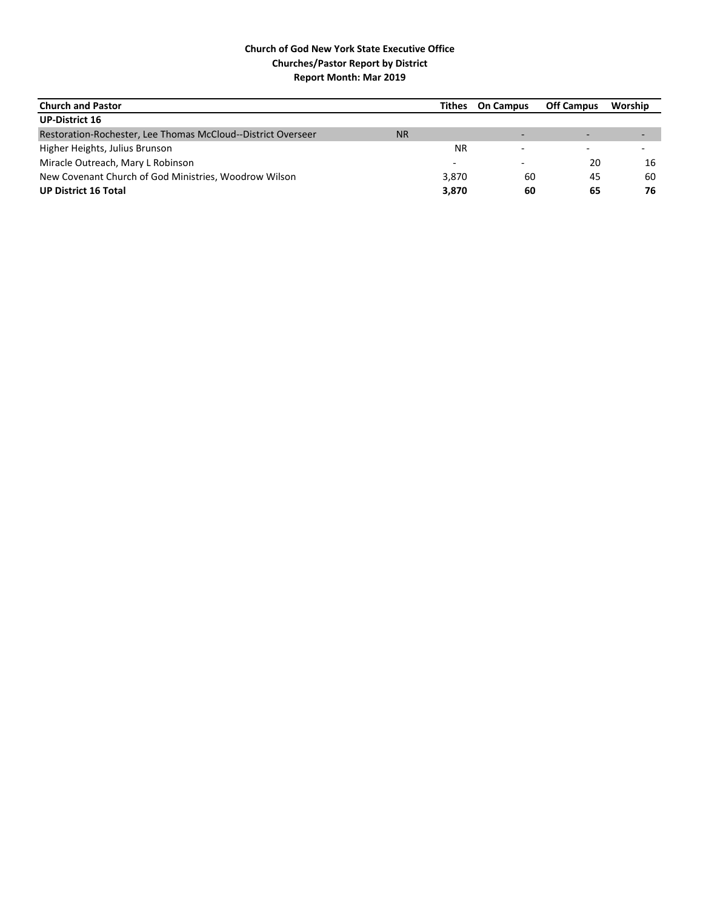| <b>Church and Pastor</b>                                     |           | Tithes    | <b>On Campus</b> | <b>Off Campus</b> | Worship |
|--------------------------------------------------------------|-----------|-----------|------------------|-------------------|---------|
| <b>UP-District 16</b>                                        |           |           |                  |                   |         |
| Restoration-Rochester, Lee Thomas McCloud--District Overseer | <b>NR</b> |           |                  |                   |         |
| Higher Heights, Julius Brunson                               |           | <b>NR</b> |                  |                   |         |
| Miracle Outreach, Mary L Robinson                            |           |           |                  | 20                | 16      |
| New Covenant Church of God Ministries, Woodrow Wilson        |           | 3,870     | 60               | 45                | 60      |
| <b>UP District 16 Total</b>                                  |           | 3,870     | 60               | 65                | 76      |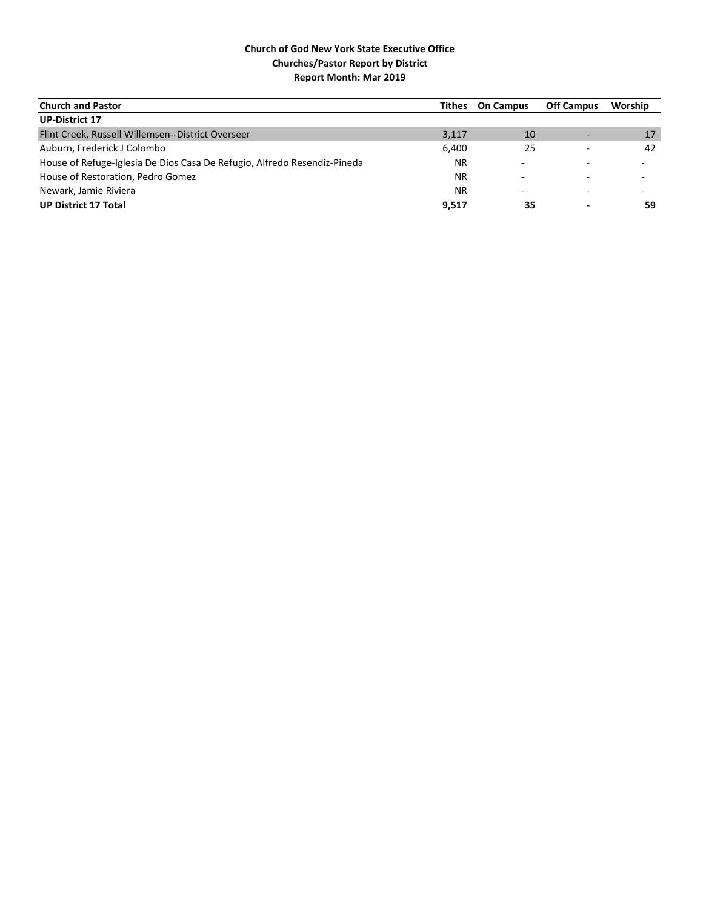| <b>Church and Pastor</b>                                                 | Tithes    | <b>On Campus</b> | <b>Off Campus</b> | Worship                  |
|--------------------------------------------------------------------------|-----------|------------------|-------------------|--------------------------|
| <b>UP-District 17</b>                                                    |           |                  |                   |                          |
| Flint Creek, Russell Willemsen--District Overseer                        | 3,117     | 10               |                   | 17                       |
| Auburn, Frederick J Colombo                                              | 6,400     | 25               |                   | 42                       |
| House of Refuge-Iglesia De Dios Casa De Refugio, Alfredo Resendiz-Pineda | <b>NR</b> |                  |                   |                          |
| House of Restoration, Pedro Gomez                                        | <b>NR</b> |                  |                   | $\overline{\phantom{0}}$ |
| Newark, Jamie Riviera                                                    | <b>NR</b> |                  |                   |                          |
| <b>UP District 17 Total</b>                                              | 9,517     | 35               |                   | 59                       |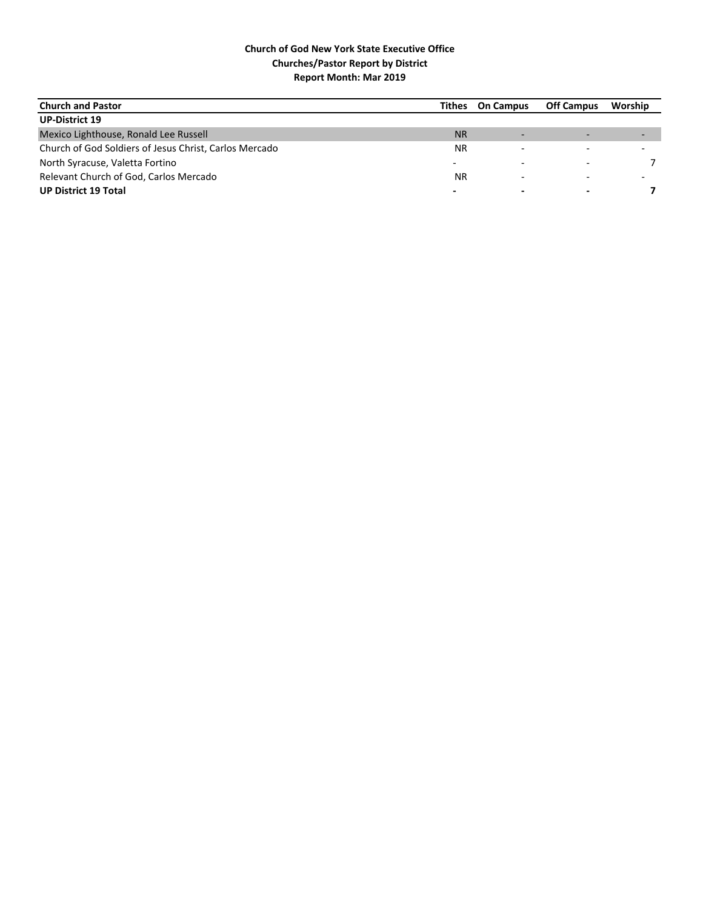| <b>Church and Pastor</b>                               | Tithes    | <b>On Campus</b>         | <b>Off Campus</b> | Worship                  |
|--------------------------------------------------------|-----------|--------------------------|-------------------|--------------------------|
| <b>UP-District 19</b>                                  |           |                          |                   |                          |
| Mexico Lighthouse, Ronald Lee Russell                  | <b>NR</b> |                          |                   | $\overline{\phantom{0}}$ |
| Church of God Soldiers of Jesus Christ, Carlos Mercado | <b>NR</b> |                          |                   |                          |
| North Syracuse, Valetta Fortino                        |           |                          |                   |                          |
| Relevant Church of God, Carlos Mercado                 | <b>NR</b> |                          |                   |                          |
| <b>UP District 19 Total</b>                            | -         | $\overline{\phantom{0}}$ |                   |                          |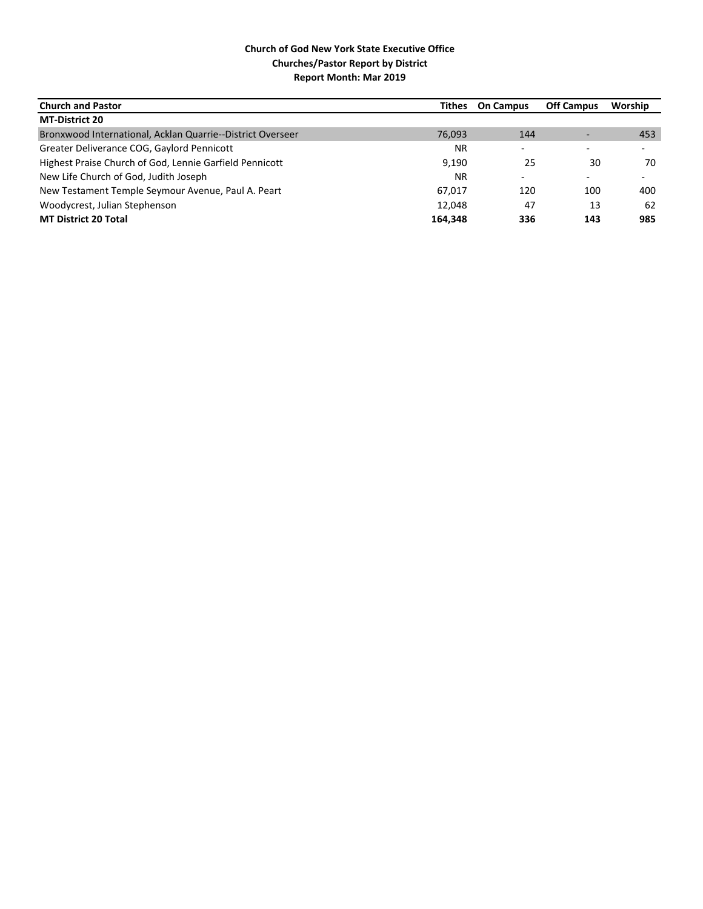| <b>Church and Pastor</b>                                   | Tithes    | <b>On Campus</b>         | <b>Off Campus</b> | Worship                  |
|------------------------------------------------------------|-----------|--------------------------|-------------------|--------------------------|
| <b>MT-District 20</b>                                      |           |                          |                   |                          |
| Bronxwood International, Acklan Quarrie--District Overseer | 76,093    | 144                      |                   | 453                      |
| Greater Deliverance COG, Gaylord Pennicott                 | NR.       | $\overline{\phantom{a}}$ |                   | $\overline{\phantom{0}}$ |
| Highest Praise Church of God, Lennie Garfield Pennicott    | 9,190     | 25                       | 30                | 70                       |
| New Life Church of God, Judith Joseph                      | <b>NR</b> | $\overline{\phantom{0}}$ |                   | $\overline{\phantom{0}}$ |
| New Testament Temple Seymour Avenue, Paul A. Peart         | 67.017    | 120                      | 100               | 400                      |
| Woodycrest, Julian Stephenson                              | 12.048    | 47                       | 13                | 62                       |
| <b>MT District 20 Total</b>                                | 164.348   | 336                      | 143               | 985                      |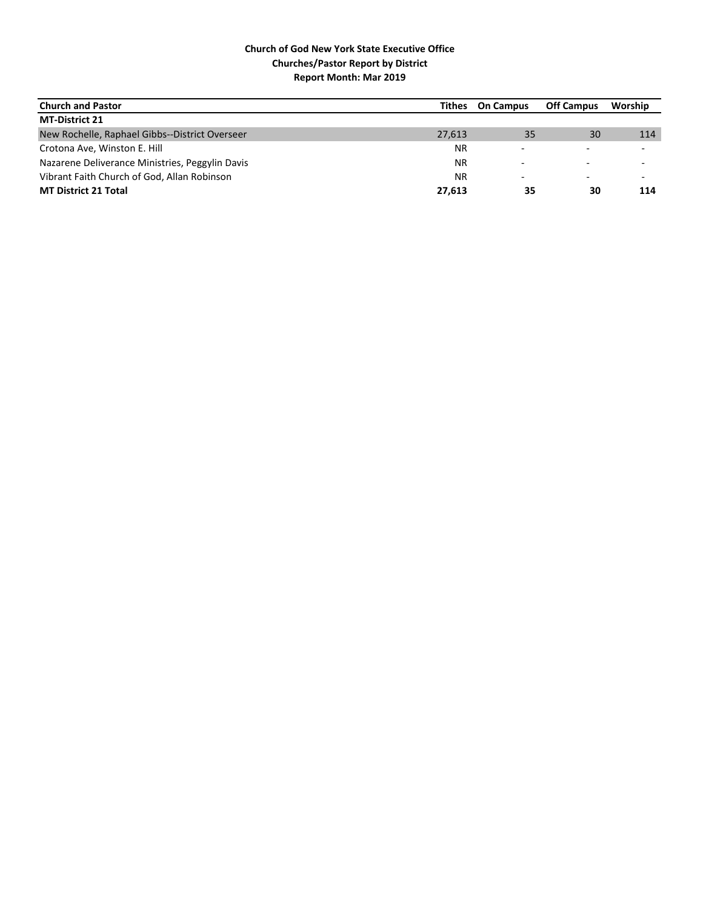| <b>Church and Pastor</b>                        | Tithes    | <b>On Campus</b>         | <b>Off Campus</b> | Worship                  |
|-------------------------------------------------|-----------|--------------------------|-------------------|--------------------------|
| <b>MT-District 21</b>                           |           |                          |                   |                          |
| New Rochelle, Raphael Gibbs--District Overseer  | 27.613    | 35                       | 30 <sup>°</sup>   | 114                      |
| Crotona Ave, Winston E. Hill                    | <b>NR</b> | $\overline{\phantom{0}}$ |                   | $\overline{\phantom{0}}$ |
| Nazarene Deliverance Ministries, Peggylin Davis | <b>NR</b> |                          |                   |                          |
| Vibrant Faith Church of God, Allan Robinson     | <b>NR</b> | $\overline{\phantom{0}}$ |                   | $\overline{\phantom{0}}$ |
| <b>MT District 21 Total</b>                     | 27,613    | 35                       | 30                | 114                      |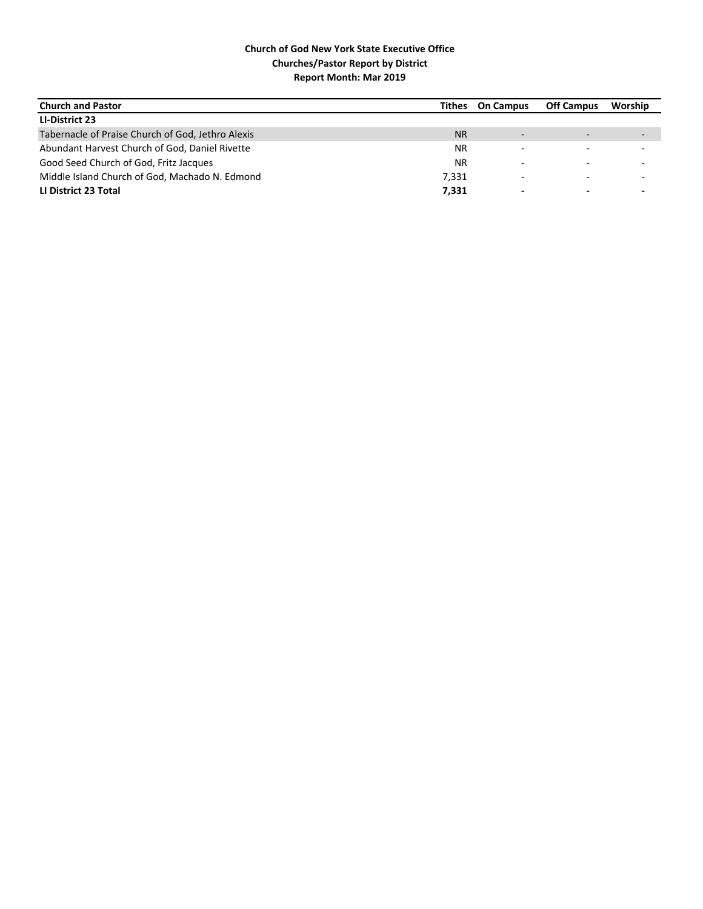| <b>Church and Pastor</b>                          | Tithes    | <b>On Campus</b>         | <b>Off Campus</b>        | Worship                  |
|---------------------------------------------------|-----------|--------------------------|--------------------------|--------------------------|
| LI-District 23                                    |           |                          |                          |                          |
| Tabernacle of Praise Church of God, Jethro Alexis | <b>NR</b> | $\overline{\phantom{0}}$ | $\overline{\phantom{0}}$ | $\overline{\phantom{0}}$ |
| Abundant Harvest Church of God, Daniel Rivette    | <b>NR</b> |                          |                          | $\overline{\phantom{0}}$ |
| Good Seed Church of God, Fritz Jacques            | <b>NR</b> |                          |                          |                          |
| Middle Island Church of God, Machado N. Edmond    | 7,331     |                          |                          | $\overline{\phantom{0}}$ |
| LI District 23 Total                              | 7,331     |                          | $\overline{\phantom{0}}$ | $\,$                     |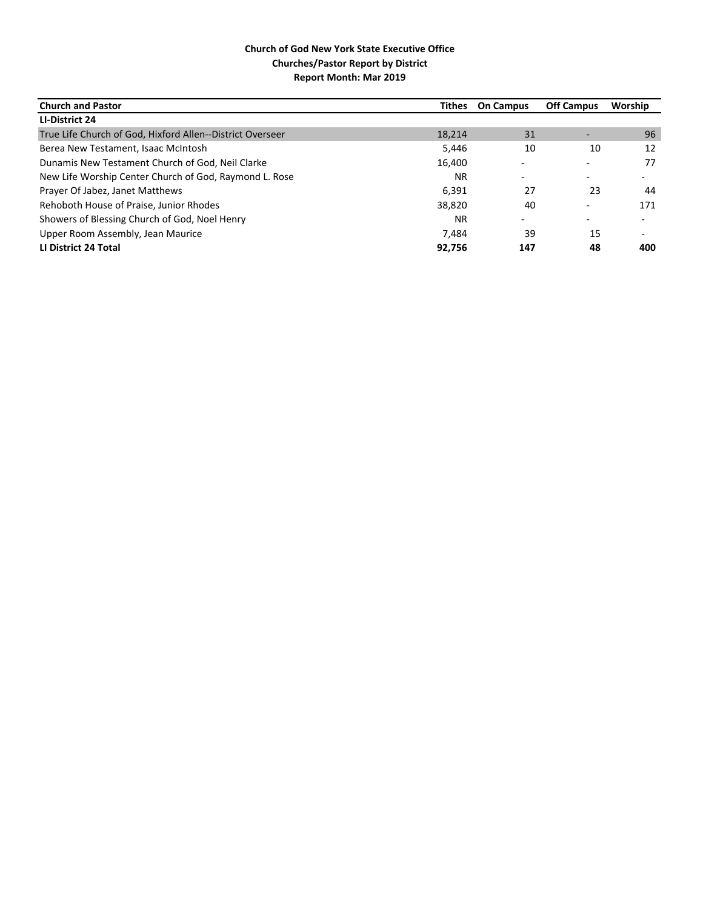| <b>Church and Pastor</b>                                  | Tithes    | <b>On Campus</b>         | <b>Off Campus</b> | Worship |
|-----------------------------------------------------------|-----------|--------------------------|-------------------|---------|
| LI-District 24                                            |           |                          |                   |         |
| True Life Church of God, Hixford Allen--District Overseer | 18.214    | 31                       |                   | 96      |
| Berea New Testament, Isaac McIntosh                       | 5,446     | 10                       | 10                | 12      |
| Dunamis New Testament Church of God, Neil Clarke          | 16,400    |                          |                   | 77      |
| New Life Worship Center Church of God, Raymond L. Rose    | <b>NR</b> | ۰                        |                   |         |
| Prayer Of Jabez, Janet Matthews                           | 6,391     | 27                       | 23                | 44      |
| Rehoboth House of Praise, Junior Rhodes                   | 38,820    | 40                       |                   | 171     |
| Showers of Blessing Church of God, Noel Henry             | <b>NR</b> | $\overline{\phantom{a}}$ |                   |         |
| Upper Room Assembly, Jean Maurice                         | 7.484     | 39                       | 15                |         |
| LI District 24 Total                                      | 92,756    | 147                      | 48                | 400     |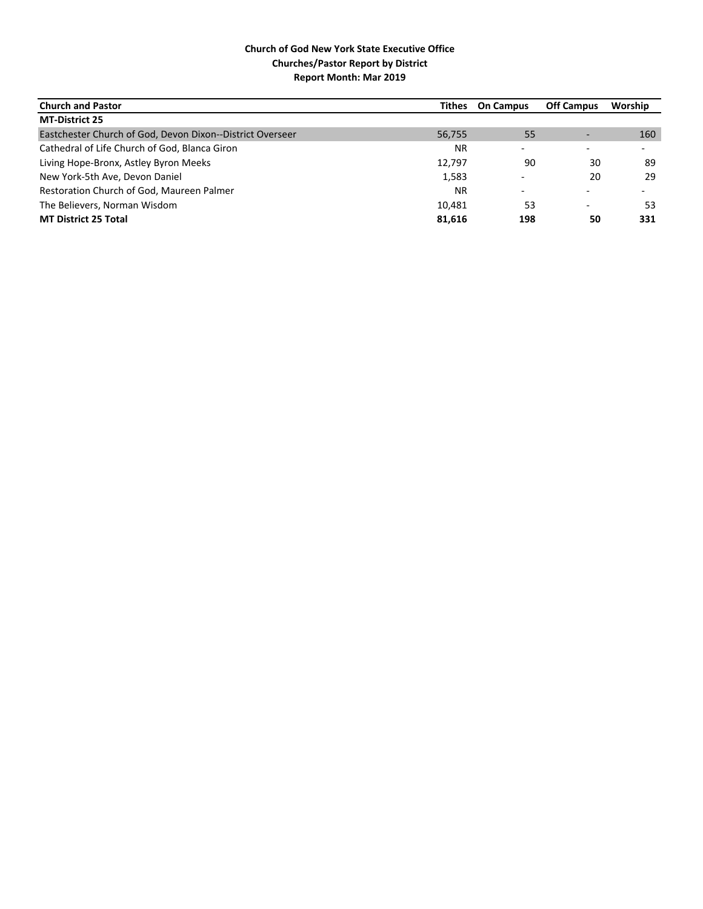| <b>Church and Pastor</b>                                  | Tithes    | <b>On Campus</b>         | <b>Off Campus</b> | Worship                  |
|-----------------------------------------------------------|-----------|--------------------------|-------------------|--------------------------|
| <b>MT-District 25</b>                                     |           |                          |                   |                          |
| Eastchester Church of God, Devon Dixon--District Overseer | 56,755    | 55                       |                   | 160                      |
| Cathedral of Life Church of God, Blanca Giron             | <b>NR</b> | $\overline{\phantom{0}}$ |                   | $\overline{\phantom{0}}$ |
| Living Hope-Bronx, Astley Byron Meeks                     | 12,797    | 90                       | 30                | 89                       |
| New York-5th Ave, Devon Daniel                            | 1,583     | $\overline{\phantom{0}}$ | 20                | 29                       |
| Restoration Church of God, Maureen Palmer                 | <b>NR</b> | -                        |                   | $\overline{\phantom{0}}$ |
| The Believers, Norman Wisdom                              | 10.481    | 53                       | -                 | 53                       |
| <b>MT District 25 Total</b>                               | 81,616    | 198                      | 50                | 331                      |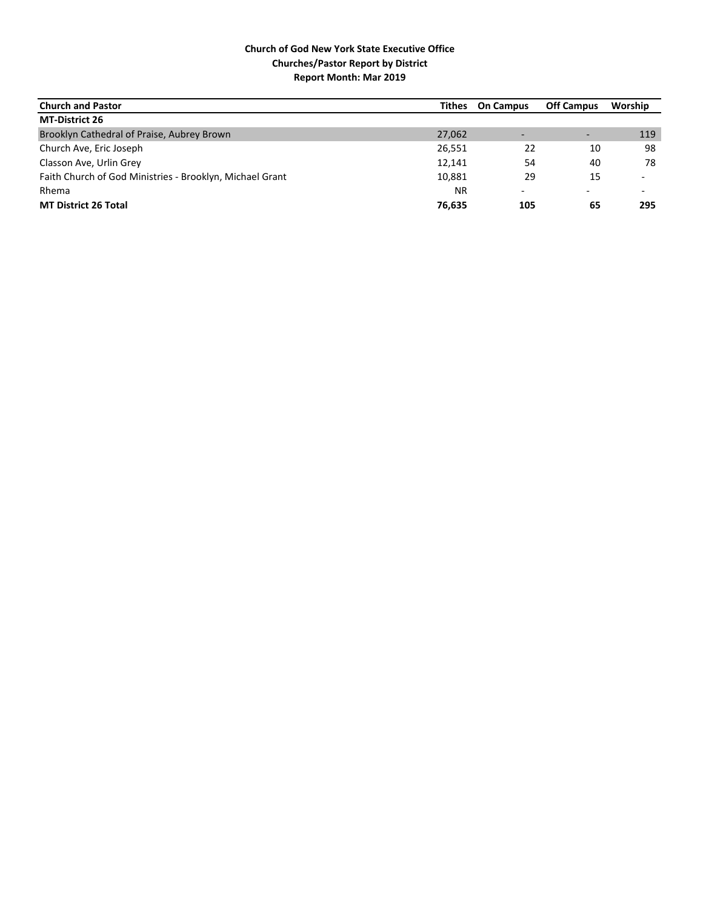| <b>Church and Pastor</b>                                 | Tithes    | <b>On Campus</b> | <b>Off Campus</b> | Worship                  |
|----------------------------------------------------------|-----------|------------------|-------------------|--------------------------|
| <b>MT-District 26</b>                                    |           |                  |                   |                          |
| Brooklyn Cathedral of Praise, Aubrey Brown               | 27,062    |                  |                   | 119                      |
| Church Ave, Eric Joseph                                  | 26,551    | 22               | 10                | 98                       |
| Classon Ave, Urlin Grey                                  | 12,141    | 54               | 40                | 78                       |
| Faith Church of God Ministries - Brooklyn, Michael Grant | 10,881    | 29               | 15                | $\overline{\phantom{0}}$ |
| Rhema                                                    | <b>NR</b> | ۰                |                   | $\overline{\phantom{0}}$ |
| <b>MT District 26 Total</b>                              | 76,635    | 105              | 65                | 295                      |